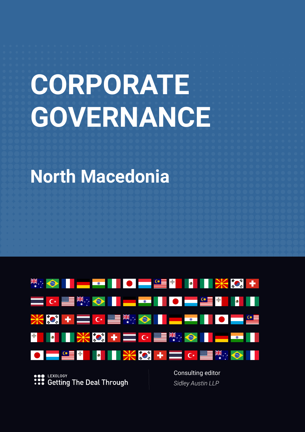# **CORPORATE GOVERNANCE**

**North Macedonia**



**C** LEXOLOGY : : Setting The Deal Through Consulting editor *Sidley Austin LLP*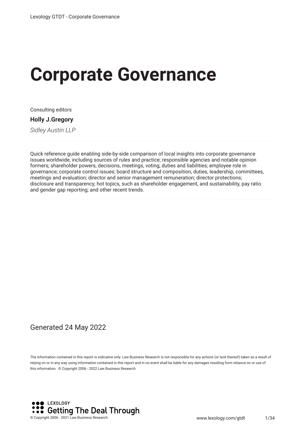# **Corporate Governance**

Consulting editors

**Holly J.Gregory**

*Sidley Austin LLP*

Quick reference guide enabling side-by-side comparison of local insights into corporate governance issues worldwide, including sources of rules and practice; responsible agencies and notable opinion formers; shareholder powers, decisions, meetings, voting, duties and liabilities; employee role in governance; corporate control issues; board structure and composition, duties, leadership, committees, meetings and evaluation; director and senior management remuneration; director protections; disclosure and transparency; hot topics, such as shareholder engagement, and sustainability, pay ratio and gender gap reporting; and other recent trends.

#### Generated 24 May 2022

The information contained in this report is indicative only. Law Business Research is not responsible for any actions (or lack thereof) taken as a result of relying on or in any way using information contained in this report and in no event shall be liable for any damages resulting from reliance on or use of this information. © Copyright 2006 - 2022 Law Business Research

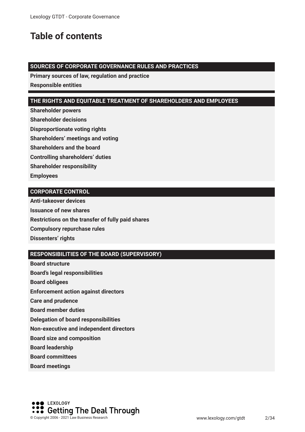# **Table of contents**

#### **SOURCES OF CORPORATE GOVERNANCE RULES AND PRACTICES**

**Primary sources of law, regulation and practice**

**Responsible entities**

#### **THE RIGHTS AND EQUITABLE TREATMENT OF SHAREHOLDERS AND EMPLOYEES**

**Shareholder powers**

**Shareholder decisions**

**Disproportionate voting rights**

**Shareholders' meetings and voting**

**Shareholders and the board**

**Controlling shareholders' duties**

**Shareholder responsibility**

**Employees**

#### **CORPORATE CONTROL**

**Anti-takeover devices Issuance of new shares Restrictions on the transfer of fully paid shares Compulsory repurchase rules Dissenters' rights**

#### **RESPONSIBILITIES OF THE BOARD (SUPERVISORY)**

**Board structure Board's legal responsibilities Board obligees Enforcement action against directors Care and prudence Board member duties Delegation of board responsibilities Non-executive and independent directors Board size and composition Board leadership Board committees**

**Board meetings**

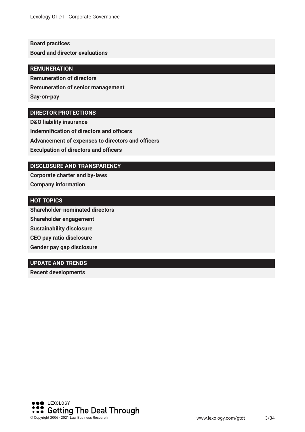#### **Board practices**

**Board and director evaluations**

#### **REMUNERATION**

**Remuneration of directors**

**Remuneration of senior management**

**Say-on-pay**

#### **DIRECTOR PROTECTIONS**

**D&O liability insurance Indemnification of directors and officers Advancement of expenses to directors and officers Exculpation of directors and officers** 

#### **DISCLOSURE AND TRANSPARENCY**

**Corporate charter and by-laws Company information**

#### **HOT TOPICS**

**Shareholder-nominated directors Shareholder engagement Sustainability disclosure CEO pay ratio disclosure Gender pay gap disclosure**

#### **UPDATE AND TRENDS**

**Recent developments** 

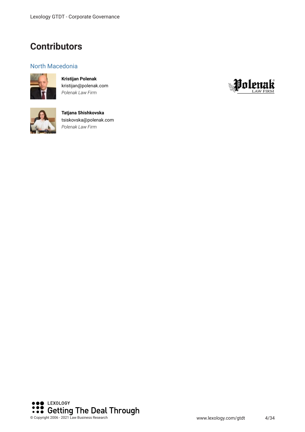### **Contributors**

#### North Macedonia



**Kristijan Polenak** kristijan@polenak.com *Polenak Law Firm*



**Tatjana Shishkovska** tsiskovska@polenak.com *Polenak Law Firm*



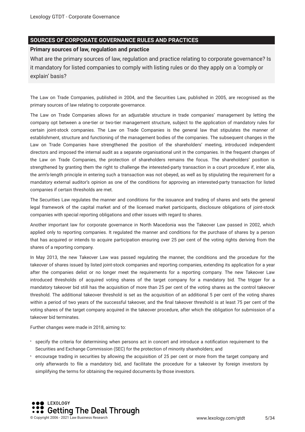#### **SOURCES OF CORPORATE GOVERNANCE RULES AND PRACTICES**

#### **Primary sources of law, regulation and practice**

What are the primary sources of law, regulation and practice relating to corporate governance? Is it mandatory for listed companies to comply with listing rules or do they apply on a 'comply or explain' basis?

The Law on Trade Companies, published in 2004, and the Securities Law, published in 2005, are recognised as the primary sources of law relating to corporate governance.

The Law on Trade Companies allows for an adjustable structure in trade companies' management by letting the company opt between a one-tier or two-tier management structure, subject to the application of mandatory rules for certain joint-stock companies. The Law on Trade Companies is the general law that stipulates the manner of establishment, structure and functioning of the management bodies of the companies. The subsequent changes in the Law on Trade Companies have strengthened the position of the shareholders' meeting, introduced independent directors and imposed the internal audit as a separate organisational unit in the companies. In the frequent changes of the Law on Trade Companies, the protection of shareholders remains the focus. The shareholders' position is strengthened by granting them the right to challenge the interested-party transaction in a court procedure if, inter alia, the arm's-length principle in entering such a transaction was not obeyed, as well as by stipulating the requirement for a mandatory external auditor's opinion as one of the conditions for approving an interested-party transaction for listed companies if certain thresholds are met.

The Securities Law regulates the manner and conditions for the issuance and trading of shares and sets the general legal framework of the capital market and of the licensed market participants, disclosure obligations of joint-stock companies with special reporting obligations and other issues with regard to shares.

Another important law for corporate governance in North Macedonia was the Takeover Law passed in 2002, which applied only to reporting companies. It regulated the manner and conditions for the purchase of shares by a person that has acquired or intends to acquire participation ensuring over 25 per cent of the voting rights deriving from the shares of a reporting company.

In May 2013, the new Takeover Law was passed regulating the manner, the conditions and the procedure for the takeover of shares issued by listed joint-stock companies and reporting companies, extending its application for a year after the companies delist or no longer meet the requirements for a reporting company. The new Takeover Law introduced thresholds of acquired voting shares of the target company for a mandatory bid. The trigger for a mandatory takeover bid still has the acquisition of more than 25 per cent of the voting shares as the control takeover threshold. The additional takeover threshold is set as the acquisition of an additional 5 per cent of the voting shares within a period of two years of the successful takeover, and the fnal takeover threshold is at least 75 per cent of the voting shares of the target company acquired in the takeover procedure, after which the obligation for submission of a takeover bid terminates.

Further changes were made in 2018, aiming to:

- specify the criteria for determining when persons act in concert and introduce a notifcation requirement to the Securities and Exchange Commission (SEC) for the protection of minority shareholders; and
- encourage trading in securities by allowing the acquisition of 25 per cent or more from the target company and only afterwards to fle a mandatory bid, and facilitate the procedure for a takeover by foreign investors by simplifying the terms for obtaining the required documents by those investors.

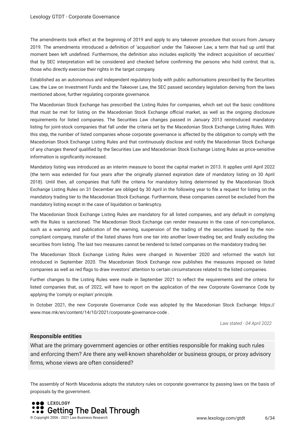The amendments took effect at the beginning of 2019 and apply to any takeover procedure that occurs from January 2019. The amendments introduced a defnition of 'acquisition' under the Takeover Law, a term that had up until that moment been left undefned. Furthermore, the defnition also includes explicitly 'the indirect acquisition of securities' that by SEC interpretation will be considered and checked before confrming the persons who hold control; that is, those who directly exercise their rights in the target company.

Established as an autonomous and independent regulatory body with public authorisations prescribed by the Securities Law, the Law on Investment Funds and the Takeover Law, the SEC passed secondary legislation deriving from the laws mentioned above, further regulating corporate governance.

The Macedonian Stock Exchange has prescribed the Listing Rules for companies, which set out the basic conditions that must be met for listing on the Macedonian Stock Exchange official market, as well as the ongoing disclosure requirements for listed companies. The Securities Law changes passed in January 2013 reintroduced mandatory listing for joint-stock companies that fall under the criteria set by the Macedonian Stock Exchange Listing Rules. With this step, the number of listed companies whose corporate governance is affected by the obligation to comply with the Macedonian Stock Exchange Listing Rules and that continuously disclose and notify the Macedonian Stock Exchange of any changes thereof qualifed by the Securities Law and Macedonian Stock Exchange Listing Rules as price-sensitive information is signifcantly increased.

Mandatory listing was introduced as an interim measure to boost the capital market in 2013. It applies until April 2022 (the term was extended for four years after the originally planned expiration date of mandatory listing on 30 April 2018). Until then, all companies that fulfl the criteria for mandatory listing determined by the Macedonian Stock Exchange Listing Rules on 31 December are obliged by 30 April in the following year to fle a request for listing on the mandatory trading tier to the Macedonian Stock Exchange. Furthermore, these companies cannot be excluded from the mandatory listing except in the case of liquidation or bankruptcy.

The Macedonian Stock Exchange Listing Rules are mandatory for all listed companies, and any default in complying with the Rules is sanctioned. The Macedonian Stock Exchange can render measures in the case of non-compliance, such as a warning and publication of the warning, suspension of the trading of the securities issued by the noncompliant company, transfer of the listed shares from one tier into another lower-trading tier, and fnally excluding the securities from listing. The last two measures cannot be rendered to listed companies on the mandatory trading tier.

The Macedonian Stock Exchange Listing Rules were changed in November 2020 and reformed the watch list introduced in September 2020. The Macedonian Stock Exchange now publishes the measures imposed on listed companies as well as red fags to draw investors' attention to certain circumstances related to the listed companies.

Further changes to the Listing Rules were made in September 2021 to refect the requirements and the criteria for listed companies that, as of 2022, will have to report on the application of the new Corporate Governance Code by applying the 'comply or explain' principle.

In October 2021, the new Corporate Governance Code was adopted by the Macedonian Stock Exchange: https:// www.mse.mk/en/content/14/10/2021/corporate-governance-code .

*Law stated - 04 April 2022*

#### **Responsible entities**

What are the primary government agencies or other entities responsible for making such rules and enforcing them? Are there any well-known shareholder or business groups, or proxy advisory frms, whose views are often considered?

The assembly of North Macedonia adopts the statutory rules on corporate governance by passing laws on the basis of proposals by the government.

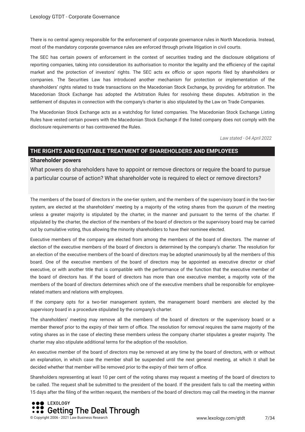There is no central agency responsible for the enforcement of corporate governance rules in North Macedonia. Instead, most of the mandatory corporate governance rules are enforced through private litigation in civil courts.

The SEC has certain powers of enforcement in the context of securities trading and the disclosure obligations of reporting companies, taking into consideration its authorisation to monitor the legality and the efficiency of the capital market and the protection of investors' rights. The SEC acts ex officio or upon reports filed by shareholders or companies. The Securities Law has introduced another mechanism for protection or implementation of the shareholders' rights related to trade transactions on the Macedonian Stock Exchange, by providing for arbitration. The Macedonian Stock Exchange has adopted the Arbitration Rules for resolving these disputes. Arbitration in the settlement of disputes in connection with the company's charter is also stipulated by the Law on Trade Companies.

The Macedonian Stock Exchange acts as a watchdog for listed companies. The Macedonian Stock Exchange Listing Rules have vested certain powers with the Macedonian Stock Exchange if the listed company does not comply with the disclosure requirements or has contravened the Rules.

*Law stated - 04 April 2022*

#### **THE RIGHTS AND EQUITABLE TREATMENT OF SHAREHOLDERS AND EMPLOYEES**

#### **Shareholder powers**

What powers do shareholders have to appoint or remove directors or require the board to pursue a particular course of action? What shareholder vote is required to elect or remove directors?

The members of the board of directors in the one-tier system, and the members of the supervisory board in the two-tier system, are elected at the shareholders' meeting by a majority of the voting shares from the quorum of the meeting unless a greater majority is stipulated by the charter, in the manner and pursuant to the terms of the charter. If stipulated by the charter, the election of the members of the board of directors or the supervisory board may be carried out by cumulative voting, thus allowing the minority shareholders to have their nominee elected.

Executive members of the company are elected from among the members of the board of directors. The manner of election of the executive members of the board of directors is determined by the company's charter. The resolution for an election of the executive members of the board of directors may be adopted unanimously by all the members of this board. One of the executive members of the board of directors may be appointed as executive director or chief executive, or with another title that is compatible with the performance of the function that the executive member of the board of directors has. If the board of directors has more than one executive member, a majority vote of the members of the board of directors determines which one of the executive members shall be responsible for employeerelated matters and relations with employees.

If the company opts for a two-tier management system, the management board members are elected by the supervisory board in a procedure stipulated by the company's charter.

The shareholders' meeting may remove all the members of the board of directors or the supervisory board or a member thereof prior to the expiry of their term of office. The resolution for removal requires the same majority of the voting shares as in the case of electing these members unless the company charter stipulates a greater majority. The charter may also stipulate additional terms for the adoption of the resolution.

An executive member of the board of directors may be removed at any time by the board of directors, with or without an explanation, in which case the member shall be suspended until the next general meeting, at which it shall be decided whether that member will be removed prior to the expiry of their term of office.

Shareholders representing at least 10 per cent of the voting shares may request a meeting of the board of directors to be called. The request shall be submitted to the president of the board. If the president fails to call the meeting within 15 days after the fling of the written request, the members of the board of directors may call the meeting in the manner

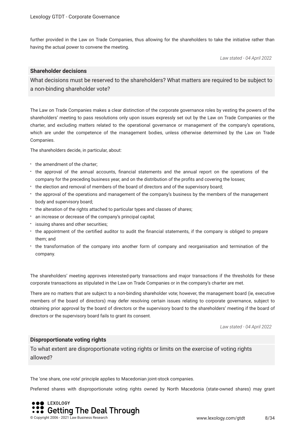further provided in the Law on Trade Companies, thus allowing for the shareholders to take the initiative rather than having the actual power to convene the meeting.

*Law stated - 04 April 2022*

#### **Shareholder decisions**

What decisions must be reserved to the shareholders? What matters are required to be subject to a non-binding shareholder vote?

The Law on Trade Companies makes a clear distinction of the corporate governance roles by vesting the powers of the shareholders' meeting to pass resolutions only upon issues expressly set out by the Law on Trade Companies or the charter, and excluding matters related to the operational governance or management of the company's operations, which are under the competence of the management bodies, unless otherwise determined by the Law on Trade Companies.

The shareholders decide, in particular, about:

- the amendment of the charter:
- the approval of the annual accounts, financial statements and the annual report on the operations of the company for the preceding business year, and on the distribution of the profts and covering the losses;
- the election and removal of members of the board of directors and of the supervisory board;
- the approval of the operations and management of the company's business by the members of the management body and supervisory board;
- the alteration of the rights attached to particular types and classes of shares;
- an increase or decrease of the company's principal capital;
- $\cdot$  issuing shares and other securities;
- the appointment of the certifed auditor to audit the fnancial statements, if the company is obliged to prepare them; and
- the transformation of the company into another form of company and reorganisation and termination of the company.

The shareholders' meeting approves interested-party transactions and major transactions if the thresholds for these corporate transactions as stipulated in the Law on Trade Companies or in the company's charter are met.

There are no matters that are subject to a non-binding shareholder vote; however, the management board (ie, executive members of the board of directors) may defer resolving certain issues relating to corporate governance, subject to obtaining prior approval by the board of directors or the supervisory board to the shareholders' meeting if the board of directors or the supervisory board fails to grant its consent.

*Law stated - 04 April 2022*

#### **Disproportionate voting rights**

To what extent are disproportionate voting rights or limits on the exercise of voting rights allowed?

The 'one share, one vote' principle applies to Macedonian joint-stock companies.

Preferred shares with disproportionate voting rights owned by North Macedonia (state-owned shares) may grant

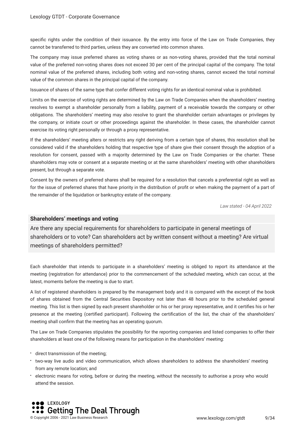specifc rights under the condition of their issuance. By the entry into force of the Law on Trade Companies, they cannot be transferred to third parties, unless they are converted into common shares.

The company may issue preferred shares as voting shares or as non-voting shares, provided that the total nominal value of the preferred non-voting shares does not exceed 30 per cent of the principal capital of the company. The total nominal value of the preferred shares, including both voting and non-voting shares, cannot exceed the total nominal value of the common shares in the principal capital of the company.

Issuance of shares of the same type that confer different voting rights for an identical nominal value is prohibited.

Limits on the exercise of voting rights are determined by the Law on Trade Companies when the shareholders' meeting resolves to exempt a shareholder personally from a liability, payment of a receivable towards the company or other obligations. The shareholders' meeting may also resolve to grant the shareholder certain advantages or privileges by the company, or initiate court or other proceedings against the shareholder. In these cases, the shareholder cannot exercise its voting right personally or through a proxy representative.

If the shareholders' meeting alters or restricts any right deriving from a certain type of shares, this resolution shall be considered valid if the shareholders holding that respective type of share give their consent through the adoption of a resolution for consent, passed with a majority determined by the Law on Trade Companies or the charter. These shareholders may vote or consent at a separate meeting or at the same shareholders' meeting with other shareholders present, but through a separate vote.

Consent by the owners of preferred shares shall be required for a resolution that cancels a preferential right as well as for the issue of preferred shares that have priority in the distribution of proft or when making the payment of a part of the remainder of the liquidation or bankruptcy estate of the company.

*Law stated - 04 April 2022*

#### **Shareholders' meetings and voting**

Are there any special requirements for shareholders to participate in general meetings of shareholders or to vote? Can shareholders act by written consent without a meeting? Are virtual meetings of shareholders permitted?

Each shareholder that intends to participate in a shareholders' meeting is obliged to report its attendance at the meeting (registration for attendance) prior to the commencement of the scheduled meeting, which can occur, at the latest, moments before the meeting is due to start.

A list of registered shareholders is prepared by the management body and it is compared with the excerpt of the book of shares obtained from the Central Securities Depository not later than 48 hours prior to the scheduled general meeting. This list is then signed by each present shareholder or his or her proxy representative, and it certifes his or her presence at the meeting (certifed participant). Following the certifcation of the list, the chair of the shareholders' meeting shall confrm that the meeting has an operating quorum.

The Law on Trade Companies stipulates the possibility for the reporting companies and listed companies to offer their shareholders at least one of the following means for participation in the shareholders' meeting:

- direct transmission of the meeting;
- two-way live audio and video communication, which allows shareholders to address the shareholders' meeting from any remote location; and
- electronic means for voting, before or during the meeting, without the necessity to authorise a proxy who would attend the session.

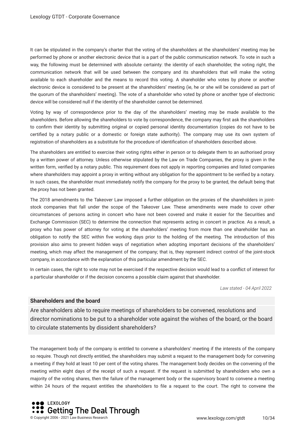It can be stipulated in the company's charter that the voting of the shareholders at the shareholders' meeting may be performed by phone or another electronic device that is a part of the public communication network. To vote in such a way, the following must be determined with absolute certainty: the identity of each shareholder, the voting right, the communication network that will be used between the company and its shareholders that will make the voting available to each shareholder and the means to record this voting. A shareholder who votes by phone or another electronic device is considered to be present at the shareholders' meeting (ie, he or she will be considered as part of the quorum of the shareholders' meeting). The vote of a shareholder who voted by phone or another type of electronic device will be considered null if the identity of the shareholder cannot be determined.

Voting by way of correspondence prior to the day of the shareholders' meeting may be made available to the shareholders. Before allowing the shareholders to vote by correspondence, the company may frst ask the shareholders to confrm their identity by submitting original or copied personal identity documentation (copies do not have to be certifed by a notary public or a domestic or foreign state authority). The company may use its own system of registration of shareholders as a substitute for the procedure of identifcation of shareholders described above.

The shareholders are entitled to exercise their voting rights either in person or to delegate them to an authorised proxy by a written power of attorney. Unless otherwise stipulated by the Law on Trade Companies, the proxy is given in the written form, verifed by a notary public. This requirement does not apply in reporting companies and listed companies where shareholders may appoint a proxy in writing without any obligation for the appointment to be verifed by a notary. In such cases, the shareholder must immediately notify the company for the proxy to be granted, the default being that the proxy has not been granted.

The 2018 amendments to the Takeover Law imposed a further obligation on the proxies of the shareholders in jointstock companies that fall under the scope of the Takeover Law. These amendments were made to cover other circumstances of persons acting in concert who have not been covered and make it easier for the Securities and Exchange Commission (SEC) to determine the connection that represents acting in concert in practice. As a result, a proxy who has power of attorney for voting at the shareholders' meeting from more than one shareholder has an obligation to notify the SEC within fve working days prior to the holding of the meeting. The introduction of this provision also aims to prevent hidden ways of negotiation when adopting important decisions of the shareholders' meeting, which may affect the management of the company; that is, they represent indirect control of the joint-stock company, in accordance with the explanation of this particular amendment by the SEC.

In certain cases, the right to vote may not be exercised if the respective decision would lead to a confict of interest for a particular shareholder or if the decision concerns a possible claim against that shareholder.

*Law stated - 04 April 2022*

#### **Shareholders and the board**

Are shareholders able to require meetings of shareholders to be convened, resolutions and director nominations to be put to a shareholder vote against the wishes of the board, or the board to circulate statements by dissident shareholders?

The management body of the company is entitled to convene a shareholders' meeting if the interests of the company so require. Though not directly entitled, the shareholders may submit a request to the management body for convening a meeting if they hold at least 10 per cent of the voting shares. The management body decides on the convening of the meeting within eight days of the receipt of such a request. If the request is submitted by shareholders who own a majority of the voting shares, then the failure of the management body or the supervisory board to convene a meeting within 24 hours of the request entitles the shareholders to fle a request to the court. The right to convene the

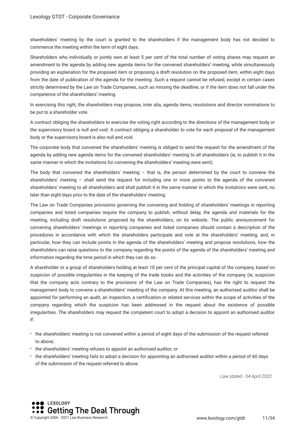shareholders' meeting by the court is granted to the shareholders if the management body has not decided to commence the meeting within the term of eight days.

Shareholders who individually or jointly own at least 5 per cent of the total number of voting shares may request an amendment to the agenda by adding new agenda items for the convened shareholders' meeting, while simultaneously providing an explanation for the proposed item or proposing a draft resolution on the proposed item, within eight days from the date of publication of the agenda for the meeting. Such a request cannot be refused, except in certain cases strictly determined by the Law on Trade Companies, such as missing the deadline, or if the item does not fall under the competence of the shareholders' meeting.

In exercising this right, the shareholders may propose, inter alia, agenda items, resolutions and director nominations to be put to a shareholder vote.

A contract obliging the shareholders to exercise the voting right according to the directions of the management body or the supervisory board is null and void. A contract obliging a shareholder to vote for each proposal of the management body or the supervisory board is also null and void.

The corporate body that convened the shareholders' meeting is obliged to send the request for the amendment of the agenda by adding new agenda items for the convened shareholders' meeting to all shareholders (ie, to publish it in the same manner in which the invitations for convening the shareholders' meeting were sent).

The body that convened the shareholders' meeting – that is, the person determined by the court to convene the shareholders' meeting – shall send the request for including one or more points to the agenda of the convened shareholders' meeting to all shareholders and shall publish it in the same manner in which the invitations were sent, no later than eight days prior to the date of the shareholders' meeting.

The Law on Trade Companies provisions governing the convening and holding of shareholders' meetings in reporting companies and listed companies require the company to publish, without delay, the agenda and materials for the meeting, including draft resolutions proposed by the shareholders, on its website. The public announcement for convening shareholders' meetings in reporting companies and listed companies should contain a description of the procedures in accordance with which the shareholders participate and vote at the shareholders' meeting, and, in particular, how they can include points in the agenda of the shareholders' meeting and propose resolutions, how the shareholders can raise questions to the company regarding the points of the agenda of the shareholders' meeting and information regarding the time period in which they can do so.

A shareholder or a group of shareholders holding at least 10 per cent of the principal capital of the company, based on suspicion of possible irregularities in the keeping of the trade books and the activities of the company (ie, suspicion that the company acts contrary to the provisions of the Law on Trade Companies), has the right to request the management body to convene a shareholders' meeting of the company. At this meeting, an authorised auditor shall be appointed for performing an audit, an inspection, a certifcation or related services within the scope of activities of the company regarding which the suspicion has been addressed in the request about the existence of possible irregularities. The shareholders may request the competent court to adopt a decision to appoint an authorised auditor if:

- the shareholders' meeting is not convened within a period of eight days of the submission of the request referred to above;
- the shareholders' meeting refuses to appoint an authorised auditor; or
- the shareholders' meeting fails to adopt a decision for appointing an authorised auditor within a period of 60 days of the submission of the request referred to above.

*Law stated - 04 April 2022*

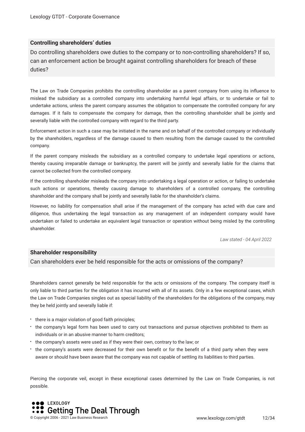#### **Controlling shareholders' duties**

Do controlling shareholders owe duties to the company or to non-controlling shareholders? If so, can an enforcement action be brought against controlling shareholders for breach of these duties?

The Law on Trade Companies prohibits the controlling shareholder as a parent company from using its infuence to mislead the subsidiary as a controlled company into undertaking harmful legal affairs, or to undertake or fail to undertake actions, unless the parent company assumes the obligation to compensate the controlled company for any damages. If it fails to compensate the company for damage, then the controlling shareholder shall be jointly and severally liable with the controlled company with regard to the third party.

Enforcement action in such a case may be initiated in the name and on behalf of the controlled company or individually by the shareholders, regardless of the damage caused to them resulting from the damage caused to the controlled company.

If the parent company misleads the subsidiary as a controlled company to undertake legal operations or actions, thereby causing irreparable damage or bankruptcy, the parent will be jointly and severally liable for the claims that cannot be collected from the controlled company.

If the controlling shareholder misleads the company into undertaking a legal operation or action, or failing to undertake such actions or operations, thereby causing damage to shareholders of a controlled company, the controlling shareholder and the company shall be jointly and severally liable for the shareholder's claims.

However, no liability for compensation shall arise if the management of the company has acted with due care and diligence, thus undertaking the legal transaction as any management of an independent company would have undertaken or failed to undertake an equivalent legal transaction or operation without being misled by the controlling shareholder.

*Law stated - 04 April 2022*

#### **Shareholder responsibility**

Can shareholders ever be held responsible for the acts or omissions of the company?

Shareholders cannot generally be held responsible for the acts or omissions of the company. The company itself is only liable to third parties for the obligation it has incurred with all of its assets. Only in a few exceptional cases, which the Law on Trade Companies singles out as special liability of the shareholders for the obligations of the company, may they be held jointly and severally liable if:

- $\cdot$  there is a major violation of good faith principles;
- the company's legal form has been used to carry out transactions and pursue objectives prohibited to them as individuals or in an abusive manner to harm creditors;
- the company's assets were used as if they were their own, contrary to the law; or
- the company's assets were decreased for their own beneft or for the beneft of a third party when they were aware or should have been aware that the company was not capable of settling its liabilities to third parties.

Piercing the corporate veil, except in these exceptional cases determined by the Law on Trade Companies, is not possible.

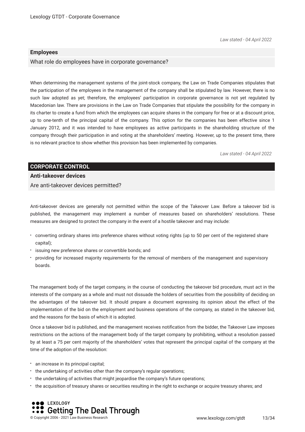*Law stated - 04 April 2022*

#### **Employees**

What role do employees have in corporate governance?

When determining the management systems of the joint-stock company, the Law on Trade Companies stipulates that the participation of the employees in the management of the company shall be stipulated by law. However, there is no such law adopted as yet; therefore, the employees' participation in corporate governance is not yet regulated by Macedonian law. There are provisions in the Law on Trade Companies that stipulate the possibility for the company in its charter to create a fund from which the employees can acquire shares in the company for free or at a discount price, up to one-tenth of the principal capital of the company. This option for the companies has been effective since 1 January 2012, and it was intended to have employees as active participants in the shareholding structure of the company through their participation in and voting at the shareholders' meeting. However, up to the present time, there is no relevant practice to show whether this provision has been implemented by companies.

*Law stated - 04 April 2022*

#### **CORPORATE CONTROL Anti-takeover devices**

Are anti-takeover devices permitted?

Anti-takeover devices are generally not permitted within the scope of the Takeover Law. Before a takeover bid is published, the management may implement a number of measures based on shareholders' resolutions. These measures are designed to protect the company in the event of a hostile takeover and may include:

- converting ordinary shares into preference shares without voting rights (up to 50 per cent of the registered share capital);
- issuing new preference shares or convertible bonds; and
- providing for increased majority requirements for the removal of members of the management and supervisory boards.

The management body of the target company, in the course of conducting the takeover bid procedure, must act in the interests of the company as a whole and must not dissuade the holders of securities from the possibility of deciding on the advantages of the takeover bid. It should prepare a document expressing its opinion about the effect of the implementation of the bid on the employment and business operations of the company, as stated in the takeover bid, and the reasons for the basis of which it is adopted.

Once a takeover bid is published, and the management receives notifcation from the bidder, the Takeover Law imposes restrictions on the actions of the management body of the target company by prohibiting, without a resolution passed by at least a 75 per cent majority of the shareholders' votes that represent the principal capital of the company at the time of the adoption of the resolution:

- an increase in its principal capital;
- the undertaking of activities other than the company's regular operations;
- the undertaking of activities that might jeopardise the company's future operations;
- the acquisition of treasury shares or securities resulting in the right to exchange or acquire treasury shares; and

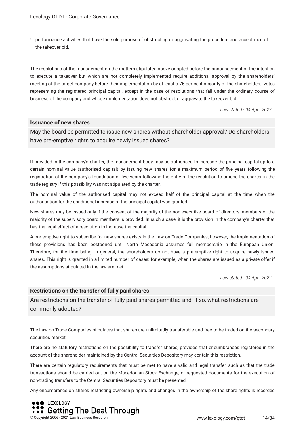performance activities that have the sole purpose of obstructing or aggravating the procedure and acceptance of the takeover bid.

The resolutions of the management on the matters stipulated above adopted before the announcement of the intention to execute a takeover but which are not completely implemented require additional approval by the shareholders' meeting of the target company before their implementation by at least a 75 per cent majority of the shareholders' votes representing the registered principal capital, except in the case of resolutions that fall under the ordinary course of business of the company and whose implementation does not obstruct or aggravate the takeover bid.

*Law stated - 04 April 2022*

#### **Issuance of new shares**

May the board be permitted to issue new shares without shareholder approval? Do shareholders have pre-emptive rights to acquire newly issued shares?

If provided in the company's charter, the management body may be authorised to increase the principal capital up to a certain nominal value (authorised capital) by issuing new shares for a maximum period of fve years following the registration of the company's foundation or fve years following the entry of the resolution to amend the charter in the trade registry if this possibility was not stipulated by the charter.

The nominal value of the authorised capital may not exceed half of the principal capital at the time when the authorisation for the conditional increase of the principal capital was granted.

New shares may be issued only if the consent of the majority of the non-executive board of directors' members or the majority of the supervisory board members is provided. In such a case, it is the provision in the company's charter that has the legal effect of a resolution to increase the capital.

A pre-emptive right to subscribe for new shares exists in the Law on Trade Companies; however, the implementation of these provisions has been postponed until North Macedonia assumes full membership in the European Union. Therefore, for the time being, in general, the shareholders do not have a pre-emptive right to acquire newly issued shares. This right is granted in a limited number of cases: for example, when the shares are issued as a private offer if the assumptions stipulated in the law are met.

*Law stated - 04 April 2022*

#### **Restrictions on the transfer of fully paid shares**

Are restrictions on the transfer of fully paid shares permitted and, if so, what restrictions are commonly adopted?

The Law on Trade Companies stipulates that shares are unlimitedly transferable and free to be traded on the secondary securities market.

There are no statutory restrictions on the possibility to transfer shares, provided that encumbrances registered in the account of the shareholder maintained by the Central Securities Depository may contain this restriction.

There are certain regulatory requirements that must be met to have a valid and legal transfer, such as that the trade transactions should be carried out on the Macedonian Stock Exchange, or requested documents for the execution of non-trading transfers to the Central Securities Depository must be presented.

Any encumbrance on shares restricting ownership rights and changes in the ownership of the share rights is recorded

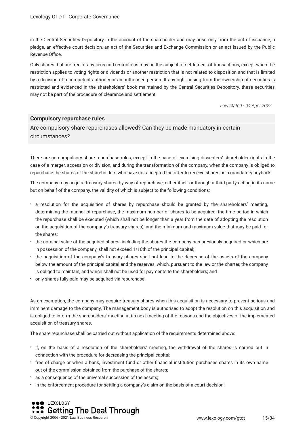in the Central Securities Depository in the account of the shareholder and may arise only from the act of issuance, a pledge, an effective court decision, an act of the Securities and Exchange Commission or an act issued by the Public Revenue Office.

Only shares that are free of any liens and restrictions may be the subject of settlement of transactions, except when the restriction applies to voting rights or dividends or another restriction that is not related to disposition and that is limited by a decision of a competent authority or an authorised person. If any right arising from the ownership of securities is restricted and evidenced in the shareholders' book maintained by the Central Securities Depository, these securities may not be part of the procedure of clearance and settlement.

*Law stated - 04 April 2022*

#### **Compulsory repurchase rules**

Are compulsory share repurchases allowed? Can they be made mandatory in certain circumstances?

There are no compulsory share repurchase rules, except in the case of exercising dissenters' shareholder rights in the case of a merger, accession or division, and during the transformation of the company, when the company is obliged to repurchase the shares of the shareholders who have not accepted the offer to receive shares as a mandatory buyback.

The company may acquire treasury shares by way of repurchase, either itself or through a third party acting in its name but on behalf of the company, the validity of which is subject to the following conditions:

- a resolution for the acquisition of shares by repurchase should be granted by the shareholders' meeting, determining the manner of repurchase, the maximum number of shares to be acquired, the time period in which the repurchase shall be executed (which shall not be longer than a year from the date of adopting the resolution on the acquisition of the company's treasury shares), and the minimum and maximum value that may be paid for the shares;
- the nominal value of the acquired shares, including the shares the company has previously acquired or which are in possession of the company, shall not exceed 1/10th of the principal capital;
- the acquisition of the company's treasury shares shall not lead to the decrease of the assets of the company below the amount of the principal capital and the reserves, which, pursuant to the law or the charter, the company is obliged to maintain, and which shall not be used for payments to the shareholders; and
- only shares fully paid may be acquired via repurchase.

As an exemption, the company may acquire treasury shares when this acquisition is necessary to prevent serious and imminent damage to the company. The management body is authorised to adopt the resolution on this acquisition and is obliged to inform the shareholders' meeting at its next meeting of the reasons and the objectives of the implemented acquisition of treasury shares.

The share repurchase shall be carried out without application of the requirements determined above:

- if, on the basis of a resolution of the shareholders' meeting, the withdrawal of the shares is carried out in connection with the procedure for decreasing the principal capital;
- free of charge or when a bank, investment fund or other fnancial institution purchases shares in its own name out of the commission obtained from the purchase of the shares;
- as a consequence of the universal succession of the assets;
- in the enforcement procedure for settling a company's claim on the basis of a court decision;

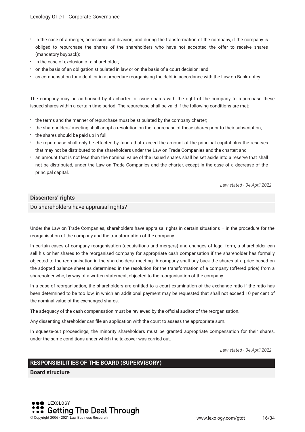- in the case of a merger, accession and division, and during the transformation of the company, if the company is obliged to repurchase the shares of the shareholders who have not accepted the offer to receive shares (mandatory buyback);
- $\cdot$  in the case of exclusion of a shareholder;
- \* on the basis of an obligation stipulated in law or on the basis of a court decision; and
- as compensation for a debt, or in a procedure reorganising the debt in accordance with the Law on Bankruptcy.

The company may be authorised by its charter to issue shares with the right of the company to repurchase these issued shares within a certain time period. The repurchase shall be valid if the following conditions are met:

- the terms and the manner of repurchase must be stipulated by the company charter;
- the shareholders' meeting shall adopt a resolution on the repurchase of these shares prior to their subscription;
- the shares should be paid up in full;
- the repurchase shall only be effected by funds that exceed the amount of the principal capital plus the reserves that may not be distributed to the shareholders under the Law on Trade Companies and the charter; and
- an amount that is not less than the nominal value of the issued shares shall be set aside into a reserve that shall not be distributed, under the Law on Trade Companies and the charter, except in the case of a decrease of the principal capital.

*Law stated - 04 April 2022*

#### **Dissenters' rights**

Do shareholders have appraisal rights?

Under the Law on Trade Companies, shareholders have appraisal rights in certain situations – in the procedure for the reorganisation of the company and the transformation of the company.

In certain cases of company reorganisation (acquisitions and mergers) and changes of legal form, a shareholder can sell his or her shares to the reorganised company for appropriate cash compensation if the shareholder has formally objected to the reorganisation in the shareholders' meeting. A company shall buy back the shares at a price based on the adopted balance sheet as determined in the resolution for the transformation of a company (offered price) from a shareholder who, by way of a written statement, objected to the reorganisation of the company.

In a case of reorganisation, the shareholders are entitled to a court examination of the exchange ratio if the ratio has been determined to be too low, in which an additional payment may be requested that shall not exceed 10 per cent of the nominal value of the exchanged shares.

The adequacy of the cash compensation must be reviewed by the official auditor of the reorganisation.

Any dissenting shareholder can fle an application with the court to assess the appropriate sum.

In squeeze-out proceedings, the minority shareholders must be granted appropriate compensation for their shares, under the same conditions under which the takeover was carried out.

*Law stated - 04 April 2022*

#### **RESPONSIBILITIES OF THE BOARD (SUPERVISORY)**

**Board structure**

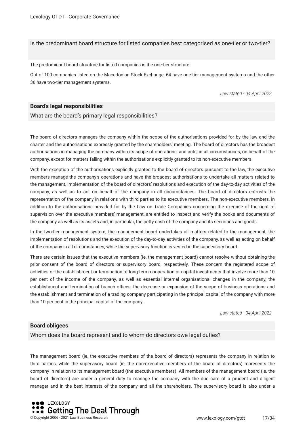Is the predominant board structure for listed companies best categorised as one-tier or two-tier?

The predominant board structure for listed companies is the one-tier structure.

Out of 100 companies listed on the Macedonian Stock Exchange, 64 have one-tier management systems and the other 36 have two-tier management systems.

*Law stated - 04 April 2022*

#### **Board's legal responsibilities**

What are the board's primary legal responsibilities?

The board of directors manages the company within the scope of the authorisations provided for by the law and the charter and the authorisations expressly granted by the shareholders' meeting. The board of directors has the broadest authorisations in managing the company within its scope of operations, and acts, in all circumstances, on behalf of the company, except for matters falling within the authorisations explicitly granted to its non-executive members.

With the exception of the authorisations explicitly granted to the board of directors pursuant to the law, the executive members manage the company's operations and have the broadest authorisations to undertake all matters related to the management, implementation of the board of directors' resolutions and execution of the day-to-day activities of the company, as well as to act on behalf of the company in all circumstances. The board of directors entrusts the representation of the company in relations with third parties to its executive members. The non-executive members, in addition to the authorisations provided for by the Law on Trade Companies concerning the exercise of the right of supervision over the executive members' management, are entitled to inspect and verify the books and documents of the company as well as its assets and, in particular, the petty cash of the company and its securities and goods.

In the two-tier management system, the management board undertakes all matters related to the management, the implementation of resolutions and the execution of the day-to-day activities of the company, as well as acting on behalf of the company in all circumstances, while the supervisory function is vested in the supervisory board.

There are certain issues that the executive members (ie, the management board) cannot resolve without obtaining the prior consent of the board of directors or supervisory board, respectively. These concern the registered scope of activities or the establishment or termination of long-term cooperation or capital investments that involve more than 10 per cent of the income of the company, as well as essential internal organisational changes in the company, the establishment and termination of branch offices, the decrease or expansion of the scope of business operations and the establishment and termination of a trading company participating in the principal capital of the company with more than 10 per cent in the principal capital of the company.

*Law stated - 04 April 2022*

#### **Board obligees**

Whom does the board represent and to whom do directors owe legal duties?

The management board (ie, the executive members of the board of directors) represents the company in relation to third parties, while the supervisory board (ie, the non-executive members of the board of directors) represents the company in relation to its management board (the executive members). All members of the management board (ie, the board of directors) are under a general duty to manage the company with the due care of a prudent and diligent manager and in the best interests of the company and all the shareholders. The supervisory board is also under a

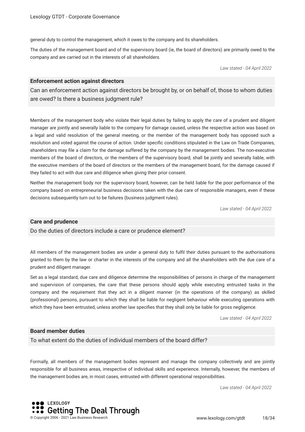general duty to control the management, which it owes to the company and its shareholders.

The duties of the management board and of the supervisory board (ie, the board of directors) are primarily owed to the company and are carried out in the interests of all shareholders.

*Law stated - 04 April 2022*

#### **Enforcement action against directors**

Can an enforcement action against directors be brought by, or on behalf of, those to whom duties are owed? Is there a business judgment rule?

Members of the management body who violate their legal duties by failing to apply the care of a prudent and diligent manager are jointly and severally liable to the company for damage caused, unless the respective action was based on a legal and valid resolution of the general meeting, or the member of the management body has opposed such a resolution and voted against the course of action. Under specifc conditions stipulated in the Law on Trade Companies, shareholders may fle a claim for the damage suffered by the company by the management bodies. The non-executive members of the board of directors, or the members of the supervisory board, shall be jointly and severally liable, with the executive members of the board of directors or the members of the management board, for the damage caused if they failed to act with due care and diligence when giving their prior consent.

Neither the management body nor the supervisory board, however, can be held liable for the poor performance of the company based on entrepreneurial business decisions taken with the due care of responsible managers, even if these decisions subsequently turn out to be failures (business judgment rules).

*Law stated - 04 April 2022*

#### **Care and prudence**

Do the duties of directors include a care or prudence element?

All members of the management bodies are under a general duty to fulfl their duties pursuant to the authorisations granted to them by the law or charter in the interests of the company and all the shareholders with the due care of a prudent and diligent manager.

Set as a legal standard, due care and diligence determine the responsibilities of persons in charge of the management and supervision of companies, the care that these persons should apply while executing entrusted tasks in the company and the requirement that they act in a diligent manner (in the operations of the company) as skilled (professional) persons, pursuant to which they shall be liable for negligent behaviour while executing operations with which they have been entrusted, unless another law specifes that they shall only be liable for gross negligence.

*Law stated - 04 April 2022*

#### **Board member duties**

To what extent do the duties of individual members of the board differ?

Formally, all members of the management bodies represent and manage the company collectively and are jointly responsible for all business areas, irrespective of individual skills and experience. Internally, however, the members of the management bodies are, in most cases, entrusted with different operational responsibilities.

*Law stated - 04 April 2022*

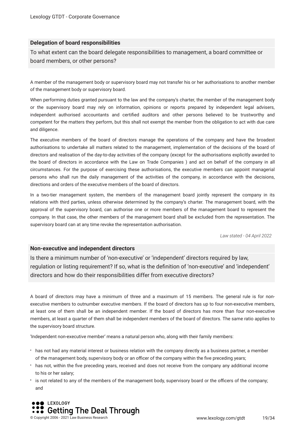#### **Delegation of board responsibilities**

To what extent can the board delegate responsibilities to management, a board committee or board members, or other persons?

A member of the management body or supervisory board may not transfer his or her authorisations to another member of the management body or supervisory board.

When performing duties granted pursuant to the law and the company's charter, the member of the management body or the supervisory board may rely on information, opinions or reports prepared by independent legal advisers, independent authorised accountants and certifed auditors and other persons believed to be trustworthy and competent for the matters they perform, but this shall not exempt the member from the obligation to act with due care and diligence.

The executive members of the board of directors manage the operations of the company and have the broadest authorisations to undertake all matters related to the management, implementation of the decisions of the board of directors and realisation of the day-to-day activities of the company (except for the authorisations explicitly awarded to the board of directors in accordance with the Law on Trade Companies ) and act on behalf of the company in all circumstances. For the purpose of exercising these authorisations, the executive members can appoint managerial persons who shall run the daily management of the activities of the company, in accordance with the decisions, directions and orders of the executive members of the board of directors.

In a two-tier management system, the members of the management board jointly represent the company in its relations with third parties, unless otherwise determined by the company's charter. The management board, with the approval of the supervisory board, can authorise one or more members of the management board to represent the company. In that case, the other members of the management board shall be excluded from the representation. The supervisory board can at any time revoke the representation authorisation.

*Law stated - 04 April 2022*

#### **Non-executive and independent directors**

Is there a minimum number of 'non-executive' or 'independent' directors required by law, regulation or listing requirement? If so, what is the defnition of 'non-executive' and 'independent' directors and how do their responsibilities differ from executive directors?

A board of directors may have a minimum of three and a maximum of 15 members. The general rule is for nonexecutive members to outnumber executive members. If the board of directors has up to four non-executive members, at least one of them shall be an independent member. If the board of directors has more than four non-executive members, at least a quarter of them shall be independent members of the board of directors. The same ratio applies to the supervisory board structure.

'Independent non-executive member' means a natural person who, along with their family members:

- has not had any material interest or business relation with the company directly as a business partner, a member of the management body, supervisory body or an officer of the company within the five preceding years;
- has not, within the fve preceding years, received and does not receive from the company any additional income to his or her salary;
- is not related to any of the members of the management body, supervisory board or the officers of the company; and

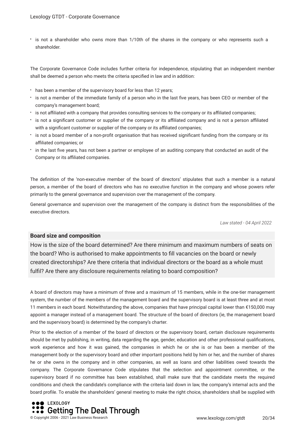is not a shareholder who owns more than 1/10th of the shares in the company or who represents such a shareholder.

The Corporate Governance Code includes further criteria for independence, stipulating that an independent member shall be deemed a person who meets the criteria specifed in law and in addition:

- has been a member of the supervisory board for less than 12 years;
- is not a member of the immediate family of a person who in the last fve years, has been CEO or member of the company's management board;
- is not afliated with a company that provides consulting services to the company or its afliated companies;
- is not a signifcant customer or supplier of the company or its afliated company and is not a person afliated with a significant customer or supplier of the company or its affiliated companies;
- is not a board member of a non-proft organisation that has received signifcant funding from the company or its affiliated companies; or
- in the last fve years, has not been a partner or employee of an auditing company that conducted an audit of the Company or its affiliated companies.

The defnition of the 'non-executive member of the board of directors' stipulates that such a member is a natural person, a member of the board of directors who has no executive function in the company and whose powers refer primarily to the general governance and supervision over the management of the company.

General governance and supervision over the management of the company is distinct from the responsibilities of the executive directors.

*Law stated - 04 April 2022*

#### **Board size and composition**

How is the size of the board determined? Are there minimum and maximum numbers of seats on the board? Who is authorised to make appointments to fll vacancies on the board or newly created directorships? Are there criteria that individual directors or the board as a whole must fulfl? Are there any disclosure requirements relating to board composition?

A board of directors may have a minimum of three and a maximum of 15 members, while in the one-tier management system, the number of the members of the management board and the supervisory board is at least three and at most 11 members in each board. Notwithstanding the above, companies that have principal capital lower than €150,000 may appoint a manager instead of a management board. The structure of the board of directors (ie, the management board and the supervisory board) is determined by the company's charter.

Prior to the election of a member of the board of directors or the supervisory board, certain disclosure requirements should be met by publishing, in writing, data regarding the age, gender, education and other professional qualifcations, work experience and how it was gained, the companies in which he or she is or has been a member of the management body or the supervisory board and other important positions held by him or her, and the number of shares he or she owns in the company and in other companies, as well as loans and other liabilities owed towards the company. The Corporate Governance Code stipulates that the selection and appointment committee, or the supervisory board if no committee has been established, shall make sure that the candidate meets the required conditions and check the candidate's compliance with the criteria laid down in law, the company's internal acts and the board profle. To enable the shareholders' general meeting to make the right choice, shareholders shall be supplied with

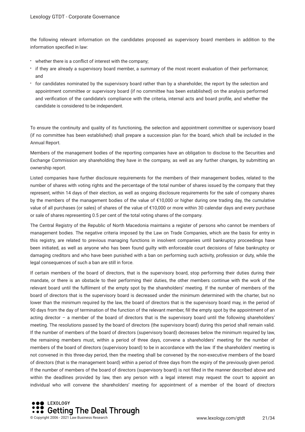the following relevant information on the candidates proposed as supervisory board members in addition to the information specifed in law:

- whether there is a confict of interest with the company;
- if they are already a supervisory board member, a summary of the most recent evaluation of their performance; and
- for candidates nominated by the supervisory board rather than by a shareholder, the report by the selection and appointment committee or supervisory board (if no committee has been established) on the analysis performed and verifcation of the candidate's compliance with the criteria, internal acts and board profle, and whether the candidate is considered to be independent.

To ensure the continuity and quality of its functioning, the selection and appointment committee or supervisory board (if no committee has been established) shall prepare a succession plan for the board, which shall be included in the Annual Report.

Members of the management bodies of the reporting companies have an obligation to disclose to the Securities and Exchange Commission any shareholding they have in the company, as well as any further changes, by submitting an ownership report.

Listed companies have further disclosure requirements for the members of their management bodies, related to the number of shares with voting rights and the percentage of the total number of shares issued by the company that they represent, within 14 days of their election, as well as ongoing disclosure requirements for the sale of company shares by the members of the management bodies of the value of €10,000 or higher during one trading day, the cumulative value of all purchases (or sales) of shares of the value of €10,000 or more within 30 calendar days and every purchase or sale of shares representing 0.5 per cent of the total voting shares of the company.

The Central Registry of the Republic of North Macedonia maintains a register of persons who cannot be members of management bodies. The negative criteria imposed by the Law on Trade Companies, which are the basis for entry in this registry, are related to previous managing functions in insolvent companies until bankruptcy proceedings have been initiated, as well as anyone who has been found guilty with enforceable court decisions of false bankruptcy or damaging creditors and who have been punished with a ban on performing such activity, profession or duty, while the legal consequences of such a ban are still in force.

If certain members of the board of directors, that is the supervisory board, stop performing their duties during their mandate, or there is an obstacle to their performing their duties, the other members continue with the work of the relevant board until the fulflment of the empty spot by the shareholders' meeting. If the number of members of the board of directors that is the supervisory board is decreased under the minimum determined with the charter, but no lower than the minimum required by the law, the board of directors that is the supervisory board may, in the period of 90 days from the day of termination of the function of the relevant member, fll the empty spot by the appointment of an acting director – a member of the board of directors that is the supervisory board until the following shareholders' meeting. The resolutions passed by the board of directors (the supervisory board) during this period shall remain valid. If the number of members of the board of directors (supervisory board) decreases below the minimum required by law, the remaining members must, within a period of three days, convene a shareholders' meeting for the number of members of the board of directors (supervisory board) to be in accordance with the law. If the shareholders' meeting is not convened in this three-day period, then the meeting shall be convened by the non-executive members of the board of directors (that is the management board) within a period of three days from the expiry of the previously given period. If the number of members of the board of directors (supervisory board) is not flled in the manner described above and within the deadlines provided by law, then any person with a legal interest may request the court to appoint an individual who will convene the shareholders' meeting for appointment of a member of the board of directors

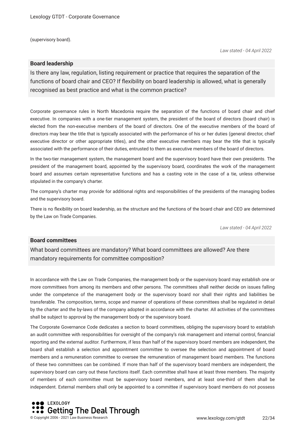(supervisory board).

*Law stated - 04 April 2022*

#### **Board leadership**

Is there any law, regulation, listing requirement or practice that requires the separation of the functions of board chair and CEO? If flexibility on board leadership is allowed, what is generally recognised as best practice and what is the common practice?

Corporate governance rules in North Macedonia require the separation of the functions of board chair and chief executive. In companies with a one-tier management system, the president of the board of directors (board chair) is elected from the non-executive members of the board of directors. One of the executive members of the board of directors may bear the title that is typically associated with the performance of his or her duties (general director, chief executive director or other appropriate titles), and the other executive members may bear the title that is typically associated with the performance of their duties, entrusted to them as executive members of the board of directors.

In the two-tier management system, the management board and the supervisory board have their own presidents. The president of the management board, appointed by the supervisory board, coordinates the work of the management board and assumes certain representative functions and has a casting vote in the case of a tie, unless otherwise stipulated in the company's charter.

The company's charter may provide for additional rights and responsibilities of the presidents of the managing bodies and the supervisory board.

There is no fexibility on board leadership, as the structure and the functions of the board chair and CEO are determined by the Law on Trade Companies.

*Law stated - 04 April 2022*

#### **Board committees**

What board committees are mandatory? What board committees are allowed? Are there mandatory requirements for committee composition?

In accordance with the Law on Trade Companies, the management body or the supervisory board may establish one or more committees from among its members and other persons. The committees shall neither decide on issues falling under the competence of the management body or the supervisory board nor shall their rights and liabilities be transferable. The composition, terms, scope and manner of operations of these committees shall be regulated in detail by the charter and the by-laws of the company adopted in accordance with the charter. All activities of the committees shall be subject to approval by the management body or the supervisory board.

The Corporate Governance Code dedicates a section to board committees, obliging the supervisory board to establish an audit committee with responsibilities for oversight of the company's risk management and internal control, fnancial reporting and the external auditor. Furthermore, if less than half of the supervisory board members are independent, the board shall establish a selection and appointment committee to oversee the selection and appointment of board members and a remuneration committee to oversee the remuneration of management board members. The functions of these two committees can be combined. If more than half of the supervisory board members are independent, the supervisory board can carry out these functions itself. Each committee shall have at least three members. The majority of members of each committee must be supervisory board members, and at least one-third of them shall be independent. External members shall only be appointed to a committee if supervisory board members do not possess

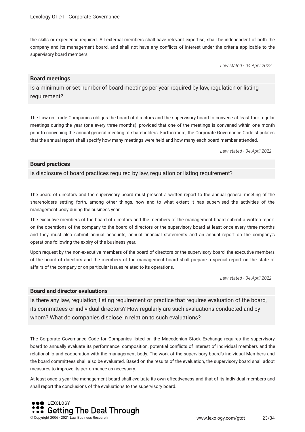the skills or experience required. All external members shall have relevant expertise, shall be independent of both the company and its management board, and shall not have any conficts of interest under the criteria applicable to the supervisory board members.

*Law stated - 04 April 2022*

#### **Board meetings**

Is a minimum or set number of board meetings per year required by law, regulation or listing requirement?

The Law on Trade Companies obliges the board of directors and the supervisory board to convene at least four regular meetings during the year (one every three months), provided that one of the meetings is convened within one month prior to convening the annual general meeting of shareholders. Furthermore, the Corporate Governance Code stipulates that the annual report shall specify how many meetings were held and how many each board member attended.

*Law stated - 04 April 2022*

#### **Board practices**

Is disclosure of board practices required by law, regulation or listing requirement?

The board of directors and the supervisory board must present a written report to the annual general meeting of the shareholders setting forth, among other things, how and to what extent it has supervised the activities of the management body during the business year.

The executive members of the board of directors and the members of the management board submit a written report on the operations of the company to the board of directors or the supervisory board at least once every three months and they must also submit annual accounts, annual fnancial statements and an annual report on the company's operations following the expiry of the business year.

Upon request by the non-executive members of the board of directors or the supervisory board, the executive members of the board of directors and the members of the management board shall prepare a special report on the state of affairs of the company or on particular issues related to its operations.

*Law stated - 04 April 2022*

#### **Board and director evaluations**

Is there any law, regulation, listing requirement or practice that requires evaluation of the board, its committees or individual directors? How regularly are such evaluations conducted and by whom? What do companies disclose in relation to such evaluations?

The Corporate Governance Code for Companies listed on the Macedonian Stock Exchange requires the supervisory board to annually evaluate its performance, composition, potential conficts of interest of individual members and the relationship and cooperation with the management body. The work of the supervisory board's individual Members and the board committees shall also be evaluated. Based on the results of the evaluation, the supervisory board shall adopt measures to improve its performance as necessary.

At least once a year the management board shall evaluate its own effectiveness and that of its individual members and shall report the conclusions of the evaluations to the supervisory board.

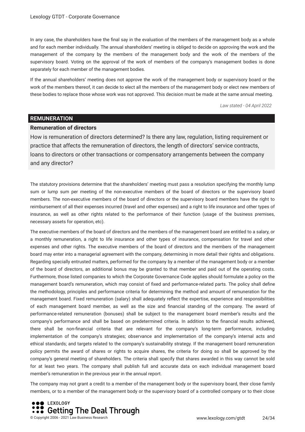In any case, the shareholders have the fnal say in the evaluation of the members of the management body as a whole and for each member individually. The annual shareholders' meeting is obliged to decide on approving the work and the management of the company by the members of the management body and the work of the members of the supervisory board. Voting on the approval of the work of members of the company's management bodies is done separately for each member of the management bodies.

If the annual shareholders' meeting does not approve the work of the management body or supervisory board or the work of the members thereof, it can decide to elect all the members of the management body or elect new members of these bodies to replace those whose work was not approved. This decision must be made at the same annual meeting.

*Law stated - 04 April 2022*

#### **REMUNERATION**

#### **Remuneration of directors**

How is remuneration of directors determined? Is there any law, regulation, listing requirement or practice that affects the remuneration of directors, the length of directors' service contracts, loans to directors or other transactions or compensatory arrangements between the company and any director?

The statutory provisions determine that the shareholders' meeting must pass a resolution specifying the monthly lump sum or lump sum per meeting of the non-executive members of the board of directors or the supervisory board members. The non-executive members of the board of directors or the supervisory board members have the right to reimbursement of all their expenses incurred (travel and other expenses) and a right to life insurance and other types of insurance, as well as other rights related to the performance of their function (usage of the business premises, necessary assets for operation, etc).

The executive members of the board of directors and the members of the management board are entitled to a salary, or a monthly remuneration, a right to life insurance and other types of insurance, compensation for travel and other expenses and other rights. The executive members of the board of directors and the members of the management board may enter into a managerial agreement with the company, determining in more detail their rights and obligations. Regarding specially entrusted matters, performed for the company by a member of the management body or a member of the board of directors, an additional bonus may be granted to that member and paid out of the operating costs. Furthermore, those listed companies to which the Corporate Governance Code applies should formulate a policy on the management board's remuneration, which may consist of fxed and performance-related parts. The policy shall defne the methodology, principles and performance criteria for determining the method and amount of remuneration for the management board. Fixed remuneration (salary) shall adequately refect the expertise, experience and responsibilities of each management board member, as well as the size and fnancial standing of the company. The award of performance-related remuneration (bonuses) shall be subject to the management board member's results and the company's performance and shall be based on predetermined criteria. In addition to the fnancial results achieved, there shall be non-fnancial criteria that are relevant for the company's long-term performance, including implementation of the company's strategies; observance and implementation of the company's internal acts and ethical standards; and targets related to the company's sustainability strategy. If the management board remuneration policy permits the award of shares or rights to acquire shares, the criteria for doing so shall be approved by the company's general meeting of shareholders. The criteria shall specify that shares awarded in this way cannot be sold for at least two years. The company shall publish full and accurate data on each individual management board member's remuneration in the previous year in the annual report.

The company may not grant a credit to a member of the management body or the supervisory board, their close family members, or to a member of the management body or the supervisory board of a controlled company or to their close

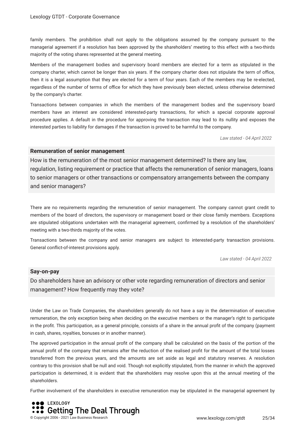family members. The prohibition shall not apply to the obligations assumed by the company pursuant to the managerial agreement if a resolution has been approved by the shareholders' meeting to this effect with a two-thirds majority of the voting shares represented at the general meeting.

Members of the management bodies and supervisory board members are elected for a term as stipulated in the company charter, which cannot be longer than six years. If the company charter does not stipulate the term of office, then it is a legal assumption that they are elected for a term of four years. Each of the members may be re-elected, regardless of the number of terms of office for which they have previously been elected, unless otherwise determined by the company's charter.

Transactions between companies in which the members of the management bodies and the supervisory board members have an interest are considered interested-party transactions, for which a special corporate approval procedure applies. A default in the procedure for approving the transaction may lead to its nullity and exposes the interested parties to liability for damages if the transaction is proved to be harmful to the company.

*Law stated - 04 April 2022*

#### **Remuneration of senior management**

How is the remuneration of the most senior management determined? Is there any law, regulation, listing requirement or practice that affects the remuneration of senior managers, loans to senior managers or other transactions or compensatory arrangements between the company and senior managers?

There are no requirements regarding the remuneration of senior management. The company cannot grant credit to members of the board of directors, the supervisory or management board or their close family members. Exceptions are stipulated obligations undertaken with the managerial agreement, confrmed by a resolution of the shareholders' meeting with a two-thirds majority of the votes.

Transactions between the company and senior managers are subject to interested-party transaction provisions. General confict-of-interest provisions apply.

*Law stated - 04 April 2022*

#### **Say-on-pay**

Do shareholders have an advisory or other vote regarding remuneration of directors and senior management? How frequently may they vote?

Under the Law on Trade Companies, the shareholders generally do not have a say in the determination of executive remuneration, the only exception being when deciding on the executive members or the manager's right to participate in the proft. This participation, as a general principle, consists of a share in the annual proft of the company (payment in cash, shares, royalties, bonuses or in another manner).

The approved participation in the annual proft of the company shall be calculated on the basis of the portion of the annual proft of the company that remains after the reduction of the realised proft for the amount of the total losses transferred from the previous years, and the amounts are set aside as legal and statutory reserves. A resolution contrary to this provision shall be null and void. Though not explicitly stipulated, from the manner in which the approved participation is determined, it is evident that the shareholders may resolve upon this at the annual meeting of the shareholders.

Further involvement of the shareholders in executive remuneration may be stipulated in the managerial agreement by

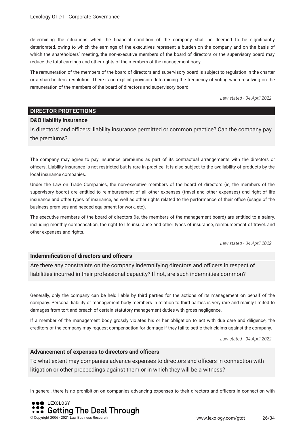determining the situations when the fnancial condition of the company shall be deemed to be signifcantly deteriorated, owing to which the earnings of the executives represent a burden on the company and on the basis of which the shareholders' meeting, the non-executive members of the board of directors or the supervisory board may reduce the total earnings and other rights of the members of the management body.

The remuneration of the members of the board of directors and supervisory board is subject to regulation in the charter or a shareholders' resolution. There is no explicit provision determining the frequency of voting when resolving on the remuneration of the members of the board of directors and supervisory board.

*Law stated - 04 April 2022*

#### **DIRECTOR PROTECTIONS**

#### **D&O liability insurance**

Is directors' and officers' liability insurance permitted or common practice? Can the company pay the premiums?

The company may agree to pay insurance premiums as part of its contractual arrangements with the directors or officers. Liability insurance is not restricted but is rare in practice. It is also subject to the availability of products by the local insurance companies.

Under the Law on Trade Companies, the non-executive members of the board of directors (ie, the members of the supervisory board) are entitled to reimbursement of all other expenses (travel and other expenses) and right of life insurance and other types of insurance, as well as other rights related to the performance of their office (usage of the business premises and needed equipment for work, etc).

The executive members of the board of directors (ie, the members of the management board) are entitled to a salary, including monthly compensation, the right to life insurance and other types of insurance, reimbursement of travel, and other expenses and rights.

*Law stated - 04 April 2022*

#### **Indemnification of directors and officers**

Are there any constraints on the company indemnifying directors and officers in respect of liabilities incurred in their professional capacity? If not, are such indemnities common?

Generally, only the company can be held liable by third parties for the actions of its management on behalf of the company. Personal liability of management body members in relation to third parties is very rare and mainly limited to damages from tort and breach of certain statutory management duties with gross negligence.

If a member of the management body grossly violates his or her obligation to act with due care and diligence, the creditors of the company may request compensation for damage if they fail to settle their claims against the company.

*Law stated - 04 April 2022*

#### **Advancement of expenses to directors and officers**

To what extent may companies advance expenses to directors and officers in connection with litigation or other proceedings against them or in which they will be a witness?

In general, there is no prohibition on companies advancing expenses to their directors and officers in connection with

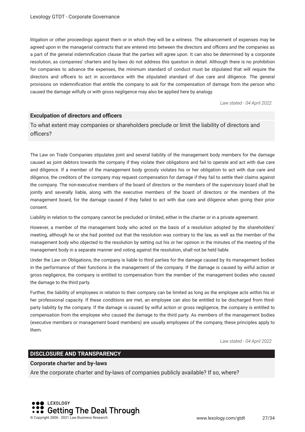litigation or other proceedings against them or in which they will be a witness. The advancement of expenses may be agreed upon in the managerial contracts that are entered into between the directors and officers and the companies as a part of the general indemnifcation clause that the parties will agree upon. It can also be determined by a corporate resolution, as companies' charters and by-laws do not address this question in detail. Although there is no prohibition for companies to advance the expenses, the minimum standard of conduct must be stipulated that will require the directors and officers to act in accordance with the stipulated standard of due care and diligence. The general provisions on indemnifcation that entitle the company to ask for the compensation of damage from the person who caused the damage wilfully or with gross negligence may also be applied here by analogy.

*Law stated - 04 April 2022*

#### **Exculpation of directors and officers**

To what extent may companies or shareholders preclude or limit the liability of directors and officers?

The Law on Trade Companies stipulates joint and several liability of the management body members for the damage caused as joint debtors towards the company if they violate their obligations and fail to operate and act with due care and diligence. If a member of the management body grossly violates his or her obligation to act with due care and diligence, the creditors of the company may request compensation for damage if they fail to settle their claims against the company. The non-executive members of the board of directors or the members of the supervisory board shall be jointly and severally liable, along with the executive members of the board of directors or the members of the management board, for the damage caused if they failed to act with due care and diligence when giving their prior consent.

Liability in relation to the company cannot be precluded or limited, either in the charter or in a private agreement.

However, a member of the management body who acted on the basis of a resolution adopted by the shareholders' meeting, although he or she had pointed out that the resolution was contrary to the law, as well as the member of the management body who objected to the resolution by setting out his or her opinion in the minutes of the meeting of the management body in a separate manner and voting against the resolution, shall not be held liable.

Under the Law on Obligations, the company is liable to third parties for the damage caused by its management bodies in the performance of their functions in the management of the company. If the damage is caused by wilful action or gross negligence, the company is entitled to compensation from the member of the management bodies who caused the damage to the third party.

Further, the liability of employees in relation to their company can be limited as long as the employee acts within his or her professional capacity. If these conditions are met, an employee can also be entitled to be discharged from thirdparty liability by the company. If the damage is caused by wilful action or gross negligence, the company is entitled to compensation from the employee who caused the damage to the third party. As members of the management bodies (executive members or management board members) are usually employees of the company, these principles apply to them.

*Law stated - 04 April 2022*

#### **DISCLOSURE AND TRANSPARENCY**

#### **Corporate charter and by-laws**

Are the corporate charter and by-laws of companies publicly available? If so, where?

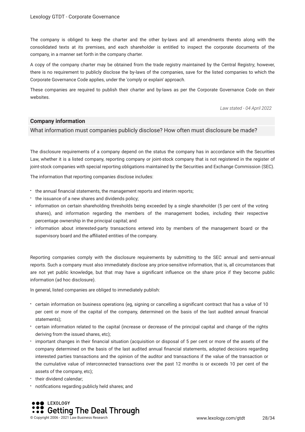The company is obliged to keep the charter and the other by-laws and all amendments thereto along with the consolidated texts at its premises, and each shareholder is entitled to inspect the corporate documents of the company, in a manner set forth in the company charter.

A copy of the company charter may be obtained from the trade registry maintained by the Central Registry; however, there is no requirement to publicly disclose the by-laws of the companies, save for the listed companies to which the Corporate Governance Code applies, under the 'comply or explain' approach.

These companies are required to publish their charter and by-laws as per the Corporate Governance Code on their websites.

*Law stated - 04 April 2022*

#### **Company information**

What information must companies publicly disclose? How often must disclosure be made?

The disclosure requirements of a company depend on the status the company has in accordance with the Securities Law, whether it is a listed company, reporting company or joint-stock company that is not registered in the register of joint-stock companies with special reporting obligations maintained by the Securities and Exchange Commission (SEC).

The information that reporting companies disclose includes:

- the annual financial statements, the management reports and interim reports;
- the issuance of a new shares and dividends policy;
- information on certain shareholding thresholds being exceeded by a single shareholder (5 per cent of the voting shares), and information regarding the members of the management bodies, including their respective percentage ownership in the principal capital; and
- information about interested-party transactions entered into by members of the management board or the supervisory board and the affiliated entities of the company.

Reporting companies comply with the disclosure requirements by submitting to the SEC annual and semi-annual reports. Such a company must also immediately disclose any price-sensitive information, that is, all circumstances that are not yet public knowledge, but that may have a signifcant infuence on the share price if they become public information (ad hoc disclosure).

In general, listed companies are obliged to immediately publish:

- certain information on business operations (eg, signing or cancelling a signifcant contract that has a value of 10 per cent or more of the capital of the company, determined on the basis of the last audited annual fnancial statements);
- certain information related to the capital (increase or decrease of the principal capital and change of the rights deriving from the issued shares, etc);
- important changes in their fnancial situation (acquisition or disposal of 5 per cent or more of the assets of the company determined on the basis of the last audited annual fnancial statements, adopted decisions regarding interested parties transactions and the opinion of the auditor and transactions if the value of the transaction or the cumulative value of interconnected transactions over the past 12 months is or exceeds 10 per cent of the assets of the company, etc);
- **their dividend calendar;**
- notifcations regarding publicly held shares; and

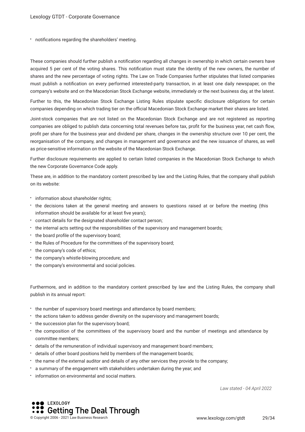notifcations regarding the shareholders' meeting.

These companies should further publish a notifcation regarding all changes in ownership in which certain owners have acquired 5 per cent of the voting shares. This notifcation must state the identity of the new owners, the number of shares and the new percentage of voting rights. The Law on Trade Companies further stipulates that listed companies must publish a notifcation on every performed interested-party transaction, in at least one daily newspaper, on the company's website and on the Macedonian Stock Exchange website, immediately or the next business day, at the latest.

Further to this, the Macedonian Stock Exchange Listing Rules stipulate specifc disclosure obligations for certain companies depending on which trading tier on the official Macedonian Stock Exchange market their shares are listed.

Joint-stock companies that are not listed on the Macedonian Stock Exchange and are not registered as reporting companies are obliged to publish data concerning total revenues before tax, proft for the business year, net cash fow, proft per share for the business year and dividend per share, changes in the ownership structure over 10 per cent, the reorganisation of the company, and changes in management and governance and the new issuance of shares, as well as price-sensitive information on the website of the Macedonian Stock Exchange.

Further disclosure requirements are applied to certain listed companies in the Macedonian Stock Exchange to which the new Corporate Governance Code apply.

These are, in addition to the mandatory content prescribed by law and the Listing Rules, that the company shall publish on its website:

- information about shareholder rights;
- the decisions taken at the general meeting and answers to questions raised at or before the meeting (this information should be available for at least five years):
- contact details for the designated shareholder contact person;
- the internal acts setting out the responsibilities of the supervisory and management boards;
- the board profile of the supervisory board;
- the Rules of Procedure for the committees of the supervisory board;
- the company's code of ethics:
- the company's whistle-blowing procedure; and
- $\cdot$  the company's environmental and social policies.

Furthermore, and in addition to the mandatory content prescribed by law and the Listing Rules, the company shall publish in its annual report:

- the number of supervisory board meetings and attendance by board members;
- the actions taken to address gender diversity on the supervisory and management boards;
- the succession plan for the supervisory board;
- the composition of the committees of the supervisory board and the number of meetings and attendance by committee members;
- details of the remuneration of individual supervisory and management board members;
- details of other board positions held by members of the management boards;
- the name of the external auditor and details of any other services they provide to the company;
- a summary of the engagement with stakeholders undertaken during the year; and
- $\cdot$  information on environmental and social matters.

*Law stated - 04 April 2022*

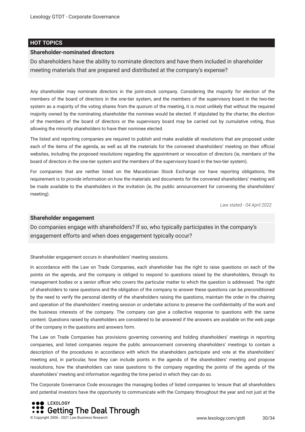#### **HOT TOPICS**

#### **Shareholder-nominated directors**

Do shareholders have the ability to nominate directors and have them included in shareholder meeting materials that are prepared and distributed at the company's expense?

Any shareholder may nominate directors in the joint-stock company. Considering the majority for election of the members of the board of directors in the one-tier system, and the members of the supervisory board in the two-tier system as a majority of the voting shares from the quorum of the meeting, it is most unlikely that without the required majority owned by the nominating shareholder the nominee would be elected. If stipulated by the charter, the election of the members of the board of directors or the supervisory board may be carried out by cumulative voting, thus allowing the minority shareholders to have their nominee elected.

The listed and reporting companies are required to publish and make available all resolutions that are proposed under each of the items of the agenda, as well as all the materials for the convened shareholders' meeting on their official websites, including the proposed resolutions regarding the appointment or revocation of directors (ie, members of the board of directors in the one-tier system and the members of the supervisory board in the two-tier system).

For companies that are neither listed on the Macedonian Stock Exchange nor have reporting obligations, the requirement is to provide information on how the materials and documents for the convened shareholders' meeting will be made available to the shareholders in the invitation (ie, the public announcement for convening the shareholders' meeting).

*Law stated - 04 April 2022*

#### **Shareholder engagement**

Do companies engage with shareholders? If so, who typically participates in the company's engagement efforts and when does engagement typically occur?

Shareholder engagement occurs in shareholders' meeting sessions.

In accordance with the Law on Trade Companies, each shareholder has the right to raise questions on each of the points on the agenda, and the company is obliged to respond to questions raised by the shareholders, through its management bodies or a senior officer who covers the particular matter to which the question is addressed. The right of shareholders to raise questions and the obligation of the company to answer these questions can be preconditioned by the need to verify the personal identity of the shareholders raising the questions, maintain the order in the chairing and operation of the shareholders' meeting session or undertake actions to preserve the confdentiality of the work and the business interests of the company. The company can give a collective response to questions with the same content. Questions raised by shareholders are considered to be answered if the answers are available on the web page of the company in the questions and answers form.

The Law on Trade Companies has provisions governing convening and holding shareholders' meetings in reporting companies, and listed companies require the public announcement convening shareholders' meetings to contain a description of the procedures in accordance with which the shareholders participate and vote at the shareholders' meeting and, in particular, how they can include points in the agenda of the shareholders' meeting and propose resolutions, how the shareholders can raise questions to the company regarding the points of the agenda of the shareholders' meeting and information regarding the time period in which they can do so.

The Corporate Governance Code encourages the managing bodies of listed companies to 'ensure that all shareholders and potential investors have the opportunity to communicate with the Company throughout the year and not just at the

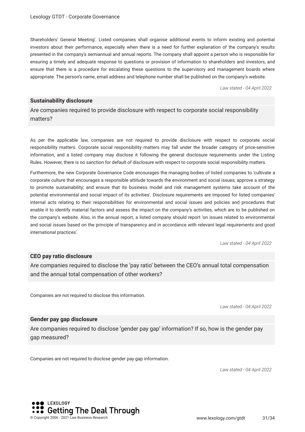Shareholders' General Meeting'. Listed companies shall organise additional events to inform existing and potential investors about their performance, especially when there is a need for further explanation of the company's results presented in the company's semiannual and annual reports. The company shall appoint a person who is responsible for ensuring a timely and adequate response to questions or provision of information to shareholders and investors, and ensure that there is a procedure for escalating these questions to the supervisory and management boards where appropriate. The person's name, email address and telephone number shall be published on the company's website.

*Law stated - 04 April 2022*

#### **Sustainability disclosure**

Are companies required to provide disclosure with respect to corporate social responsibility matters?

As per the applicable law, companies are not required to provide disclosure with respect to corporate social responsibility matters. Corporate social responsibility matters may fall under the broader category of price-sensitive information, and a listed company may disclose it following the general disclosure requirements under the Listing Rules. However, there is no sanction for default of disclosure with respect to corporate social responsibility matters.

Furthermore, the new Corporate Governance Code encourages the managing bodies of listed companies to 'cultivate a corporate culture that encourages a responsible attitude towards the environment and social issues; approve a strategy to promote sustainability; and ensure that its business model and risk management systems take account of the potential environmental and social impact of its activities'. Disclosure requirements are imposed for listed companies' internal acts relating to their responsibilities for environmental and social issues and policies and procedures that enable it to identify material factors and assess the impact on the company's activities, which are to be published on the company's website. Also, in the annual report, a listed company should report 'on issues related to environmental and social issues based on the principle of transparency and in accordance with relevant legal requirements and good international practices'.

*Law stated - 04 April 2022*

#### **CEO pay ratio disclosure**

Are companies required to disclose the 'pay ratio' between the CEO's annual total compensation and the annual total compensation of other workers?

Companies are not required to disclose this information.

*Law stated - 04 April 2022*

#### **Gender pay gap disclosure**

Are companies required to disclose 'gender pay gap' information? If so, how is the gender pay gap measured?

Companies are not required to disclose gender pay gap information.

*Law stated - 04 April 2022*

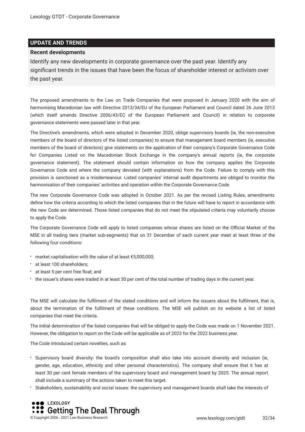#### **UPDATE AND TRENDS**

#### **Recent developments**

Identify any new developments in corporate governance over the past year. Identify any signifcant trends in the issues that have been the focus of shareholder interest or activism over the past year.

The proposed amendments to the Law on Trade Companies that were proposed in January 2020 with the aim of harmonising Macedonian law with Directive 2013/34/EU of the European Parliament and Council dated 26 June 2013 (which itself amends Directive 2006/43/EC of the European Parliament and Council) in relation to corporate governance statements were passed later in that year.

The Directive's amendments, which were adopted in December 2020, oblige supervisory boards (ie, the non-executive members of the board of directors of the listed companies) to ensure that management board members (ie, executive members of the board of directors) give statements on the application of their company's Corporate Governance Code for Companies Listed on the Macedonian Stock Exchange in the company's annual reports (ie, the corporate governance statement). The statement should contain information on how the company applies the Corporate Governance Code and where the company deviated (with explanations) from the Code. Failure to comply with this provision is sanctioned as a misdemeanour. Listed companies' internal audit departments are obliged to monitor the harmonisation of their companies' activities and operation within the Corporate Governance Code.

The new Corporate Governance Code was adopted in October 2021. As per the revised Listing Rules, amendments defne how the criteria according to which the listed companies that in the future will have to report in accordance with the new Code are determined. Those listed companies that do not meet the stipulated criteria may voluntarily choose to apply the Code.

The Corporate Governance Code will apply to listed companies whose shares are listed on the Official Market of the MSE in all trading tiers (market sub-segments) that on 31 December of each current year meet at least three of the following four conditions:

- market capitalisation with the value of at least €5,000,000;
- at least 100 shareholders;
- at least 5 per cent free foat; and
- the issuer's shares were traded in at least 30 per cent of the total number of trading days in the current year.

The MSE will calculate the fulflment of the stated conditions and will inform the issuers about the fulflment, that is, about the termination of the fulflment of these conditions. The MSE will publish on its website a list of listed companies that meet the criteria.

The initial determination of the listed companies that will be obliged to apply the Code was made on 1 November 2021. However, the obligation to report on the Code will be applicable as of 2023 for the 2022 business year.

The Code introduced certain novelties, such as:

- Supervisory board diversity: the board's composition shall also take into account diversity and inclusion (ie, gender, age, education, ethnicity and other personal characteristics). The company shall ensure that it has at least 30 per cent female members of the supervisory board and management board by 2025. The annual report shall include a summary of the actions taken to meet this target.
- Stakeholders, sustainability and social issues: the supervisory and management boards shall take the interests of

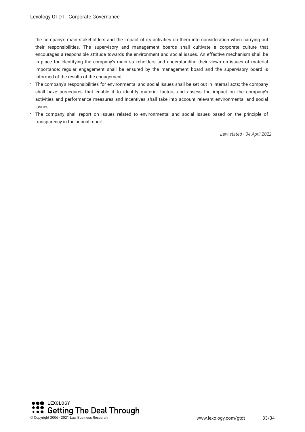the company's main stakeholders and the impact of its activities on them into consideration when carrying out their responsibilities. The supervisory and management boards shall cultivate a corporate culture that encourages a responsible attitude towards the environment and social issues. An effective mechanism shall be in place for identifying the company's main stakeholders and understanding their views on issues of material importance; regular engagement shall be ensured by the management board and the supervisory board is informed of the results of the engagement.

- The company's responsibilities for environmental and social issues shall be set out in internal acts; the company shall have procedures that enable it to identify material factors and assess the impact on the company's activities and performance measures and incentives shall take into account relevant environmental and social issues.
- The company shall report on issues related to environmental and social issues based on the principle of transparency in the annual report.

*Law stated - 04 April 2022*